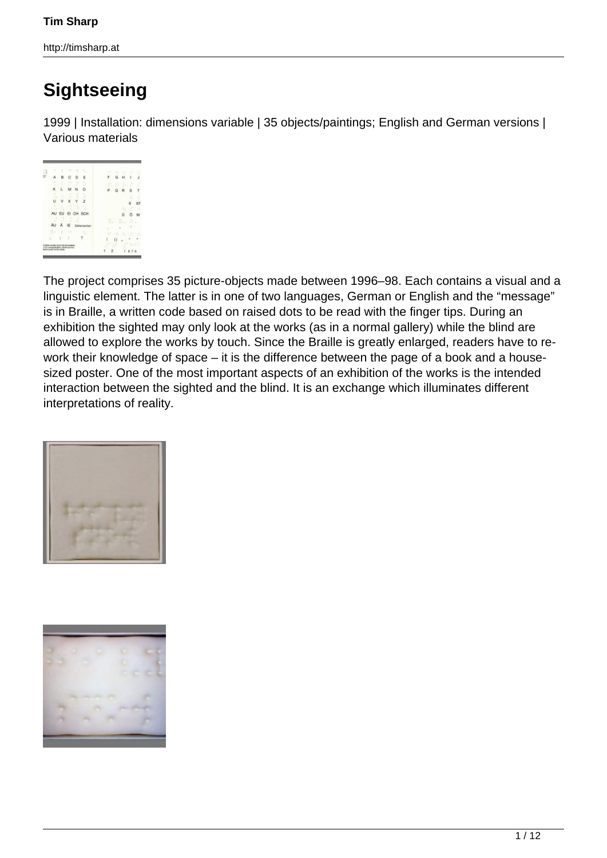# **Sightseeing**

1999 | Installation: dimensions variable | 35 objects/paintings; English and German versions | Various materials



The project comprises 35 picture-objects made between 1996–98. Each contains a visual and a linguistic element. The latter is in one of two languages, German or English and the "message" is in Braille, a written code based on raised dots to be read with the finger tips. During an exhibition the sighted may only look at the works (as in a normal gallery) while the blind are allowed to explore the works by touch. Since the Braille is greatly enlarged, readers have to rework their knowledge of space – it is the difference between the page of a book and a housesized poster. One of the most important aspects of an exhibition of the works is the intended interaction between the sighted and the blind. It is an exchange which illuminates different interpretations of reality.



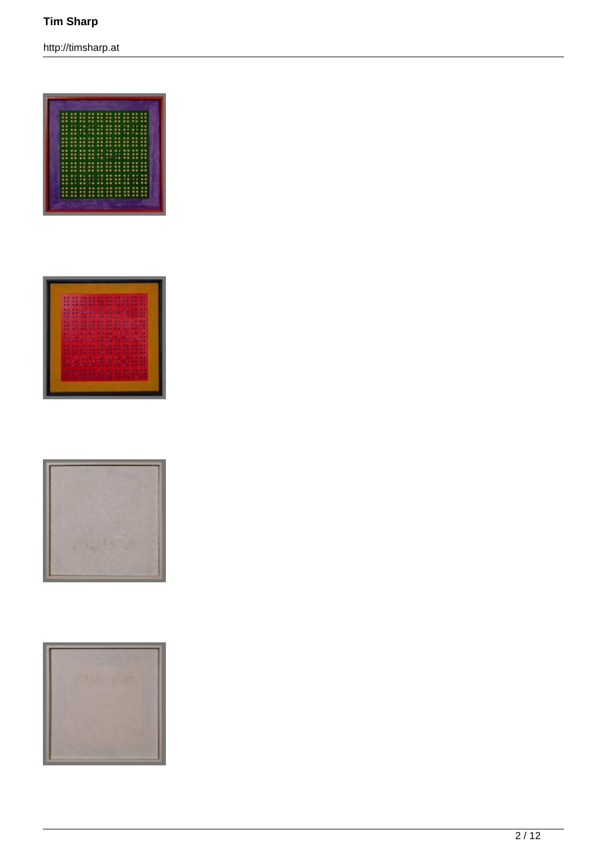| ٠<br>٠<br>٠<br><br> | ٠<br>٠                                                                               |                                                    |                                                 |                                 |                                                       |                                     |                                  |
|---------------------|--------------------------------------------------------------------------------------|----------------------------------------------------|-------------------------------------------------|---------------------------------|-------------------------------------------------------|-------------------------------------|----------------------------------|
|                     |                                                                                      |                                                    | ۰<br>٠                                          |                                 | ٠<br>٠                                                | ٠<br>٠                              | ٠<br>۰                           |
|                     |                                                                                      |                                                    |                                                 |                                 | . .                                                   |                                     | . .                              |
| $\cdots$<br>        | ٠                                                                                    |                                                    | ٠                                               | ٠<br>٠                          | ٠<br>۰                                                | ٠<br>٠                              | ٠<br>٠                           |
| $\cdots$<br>        | $-1$                                                                                 | $F - 0$                                            |                                                 |                                 | ٠<br>٠                                                | ٠<br>٠                              | ٠<br>٠                           |
| <br>                | ٠<br>٠                                                                               | . .                                                | ٠<br>٠                                          | ٠<br>٠                          | . .                                                   | ٠<br>٠                              |                                  |
| $-1$<br>$\cdots$    | ٠                                                                                    |                                                    | ٠<br>٠                                          | ٠<br>٠                          | ٠<br>٠                                                | ٠                                   | ٠                                |
| <br>                | ٠<br>٠                                                                               |                                                    | ٠                                               |                                 | ٠<br>٠                                                | ٠<br>٠                              | ٠<br>٠                           |
| . .<br>             |                                                                                      |                                                    | ٠<br>٠                                          | ٠<br>٠                          |                                                       |                                     | . .                              |
| <br>٠<br>٠          |                                                                                      |                                                    | ٠<br>٠                                          | ٠<br>٠                          | ٠                                                     | ٠                                   |                                  |
| <br>                | ٠<br>٠                                                                               |                                                    |                                                 |                                 | ٠<br>٠                                                | ٠<br>٠                              |                                  |
| <br>                |                                                                                      | . .                                                |                                                 | $\cdots$                        |                                                       |                                     |                                  |
| . .<br>             | ٠                                                                                    | $\cdots$                                           | . .                                             | $\cdot$ .                       | ٠<br>٠                                                | ٠<br>٠                              | ٠                                |
|                     |                                                                                      |                                                    |                                                 |                                 |                                                       |                                     |                                  |
| ٠                   | ٠                                                                                    |                                                    | ٠<br>٠                                          | ٠<br>٠                          | ٠<br>٠                                                | ٠<br>٠                              |                                  |
| <br>٠               | ٠<br>٠                                                                               |                                                    | ٠                                               | ٠                               | ۰<br>٠                                                |                                     | ٠                                |
|                     |                                                                                      |                                                    |                                                 |                                 |                                                       |                                     |                                  |
|                     |                                                                                      |                                                    |                                                 |                                 |                                                       |                                     | $\bullet$                        |
|                     |                                                                                      |                                                    | ٠                                               |                                 | ٠<br>٠                                                | . .                                 |                                  |
|                     |                                                                                      |                                                    |                                                 |                                 |                                                       |                                     |                                  |
|                     |                                                                                      |                                                    |                                                 |                                 |                                                       |                                     | ٠<br>٠<br>٠<br>٠                 |
| ٠                   |                                                                                      |                                                    | ٠                                               | ٠<br>۰                          | ٠<br>٠                                                |                                     | ۰                                |
|                     |                                                                                      | ٠                                                  |                                                 |                                 |                                                       |                                     |                                  |
| ۰<br>٠              | <br>٠<br>٠<br><br>٠<br><br><br>. .<br>$\cdots$<br>۰<br>٠<br>٠<br><br><br>٠<br>٠<br>٠ | <br>٠<br>٠<br>٠<br>٠<br>٠<br>٠<br>٠<br>٠<br>۰<br>٠ | <br>٠<br>٠<br>. .<br>٠<br>٠<br>٠<br>٠<br>٠<br>٠ | <br>٠<br>٠<br>. .<br><br>٠<br>٠ | <br>٠<br>٠<br>٠<br>٠<br>$\bullet$<br>٠<br>٠<br>٠<br>٠ | <br>٠<br>٠<br>٠<br>٠<br>٠<br>٠<br>٠ | <br>٠<br>٠<br>. .<br>٠<br>٠<br>٠ |

|                             |                   |  | <b>ARIAN AR AR</b>                         | ш          | m           | Ŧ.                                                                |  |
|-----------------------------|-------------------|--|--------------------------------------------|------------|-------------|-------------------------------------------------------------------|--|
| .                           |                   |  | <b>STATISTICS</b>                          |            |             | .                                                                 |  |
| œ                           | . .               |  | <b></b>                                    |            |             | ----                                                              |  |
| <b>CONTRACT</b>             |                   |  |                                            |            |             | the company of the company of the first product of the company of |  |
| .                           |                   |  |                                            |            |             | .                                                                 |  |
|                             |                   |  |                                            |            |             | <b>WAS A REPORT OF THE REPORT OF A REPORT</b>                     |  |
|                             |                   |  |                                            |            |             |                                                                   |  |
| . .                         |                   |  |                                            |            |             | <b>A R. A.M. A.D. AND A R. A.M. A.M. A.M.</b>                     |  |
| ٠<br>٠                      | <b>The Co</b>     |  | <b>And State State</b>                     | ــ         | . .         | <b>Marine Street</b>                                              |  |
| with the wind with a change |                   |  |                                            | <b>COL</b> | <b>With</b> | <b>STATISTICS</b>                                                 |  |
| . .                         |                   |  | <b><i>BARA BARAGER 16</i></b>              |            | ma.         | $1 - 1 - 1 = 1$                                                   |  |
| - -                         |                   |  | <b>.</b>                                   |            |             | <b>All Street</b>                                                 |  |
| -                           |                   |  |                                            |            |             | ________________                                                  |  |
|                             | . .               |  | .                                          |            |             | <b><i><u>BAR BRASHERS</u></i></b>                                 |  |
| m.                          | . .               |  | <b>A ROOM AND A ROOM AND A</b>             |            | .           | .                                                                 |  |
|                             |                   |  |                                            |            |             |                                                                   |  |
| . .                         |                   |  | <b>SALE ROOM PRO</b>                       |            |             | --<br><b>The Common</b>                                           |  |
| <b>COLL</b>                 | 41.7              |  | <b>A.A. &amp; B. B. C. A.A. B. B. A.A.</b> |            |             |                                                                   |  |
| m                           | <b>STATISTICS</b> |  |                                            |            |             | .                                                                 |  |
| <b>STATISTICS</b>           | - 1               |  |                                            |            |             | .                                                                 |  |
| . .                         | -                 |  | .                                          |            |             | <b>CARD COMPANY OF BUILDING</b>                                   |  |
| . .                         | i a b             |  |                                            |            |             |                                                                   |  |



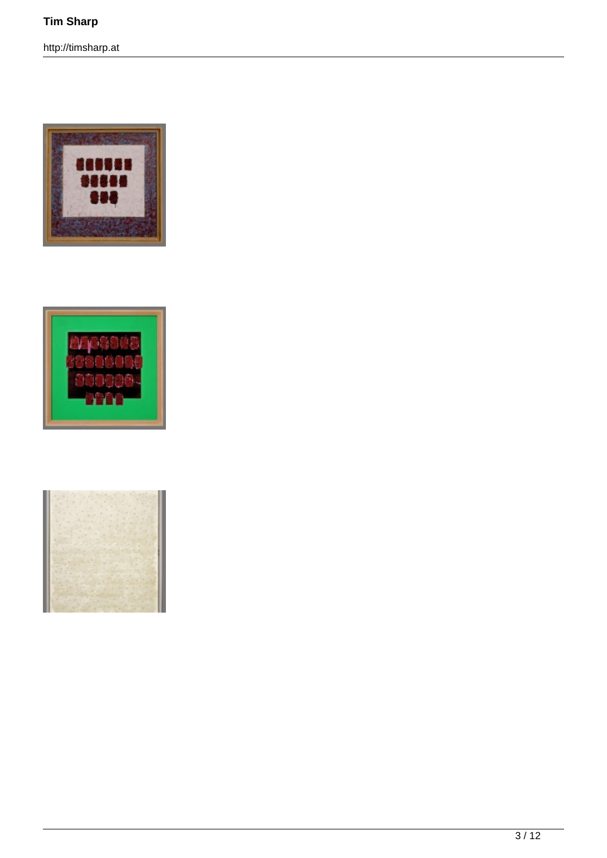



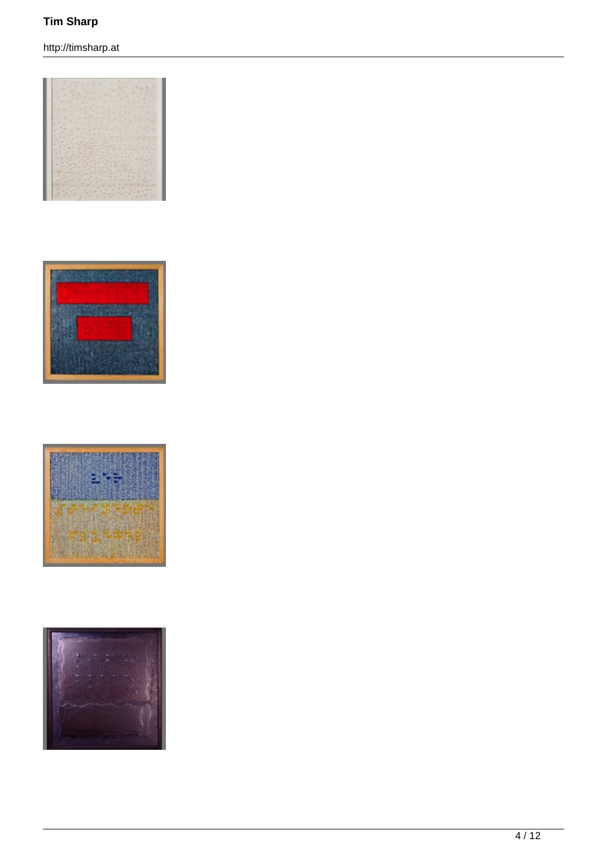





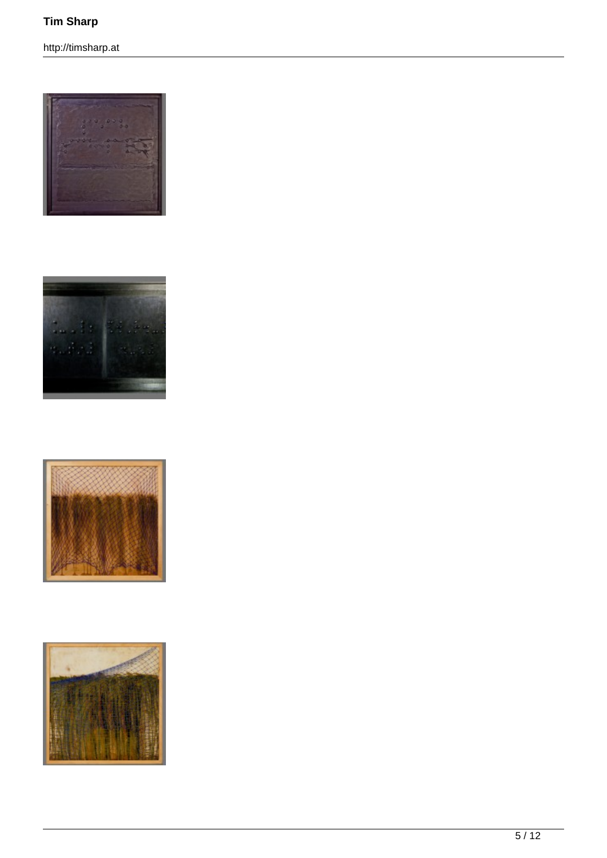





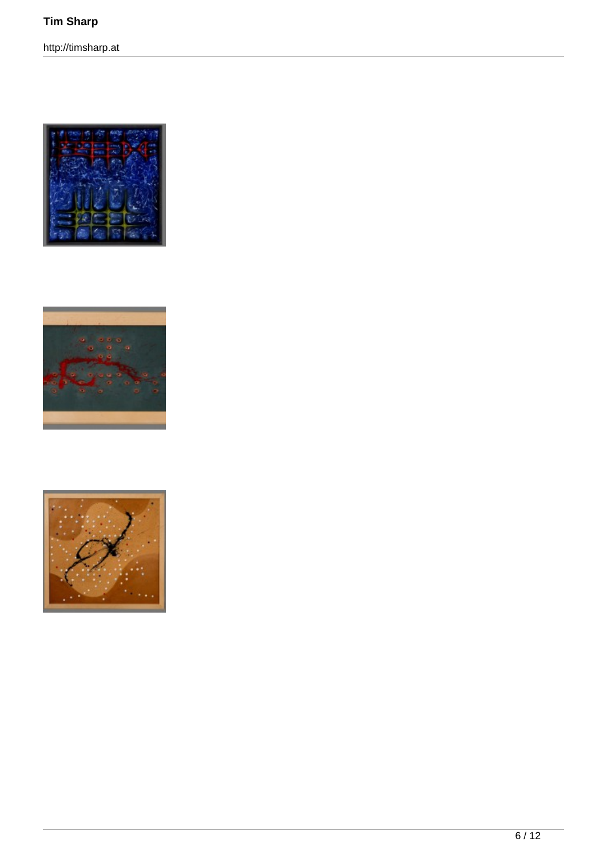



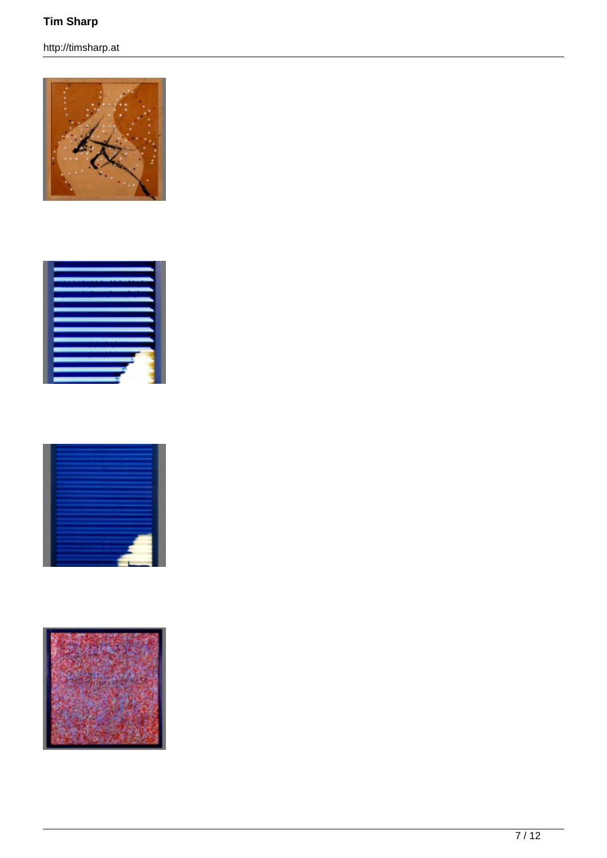





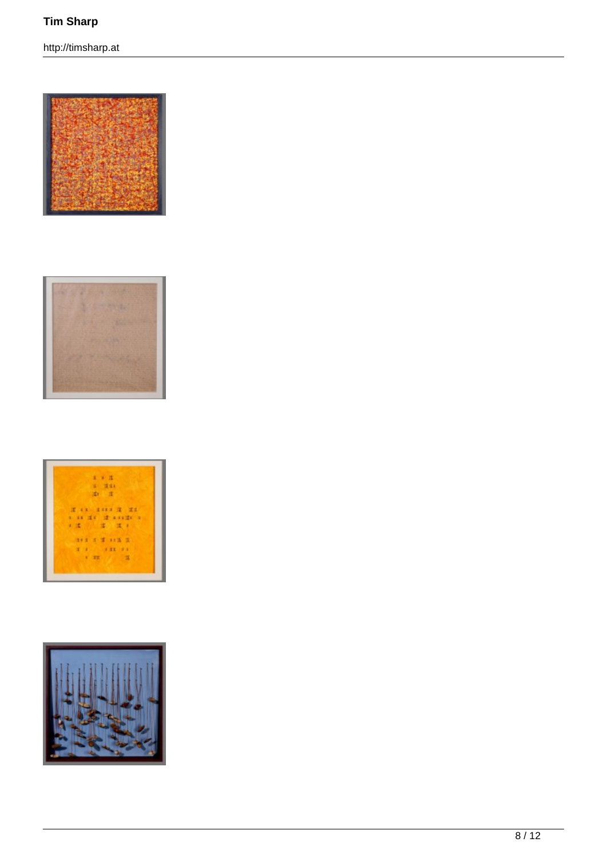





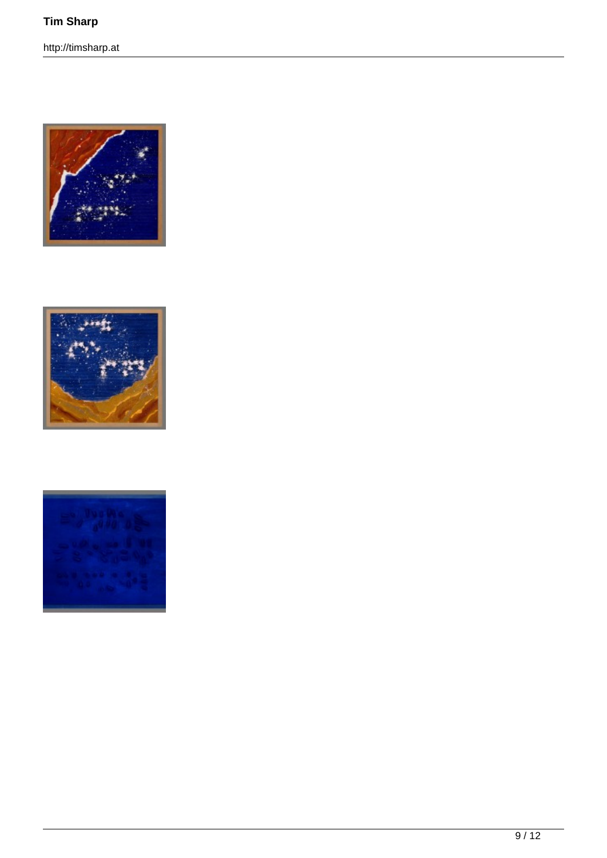



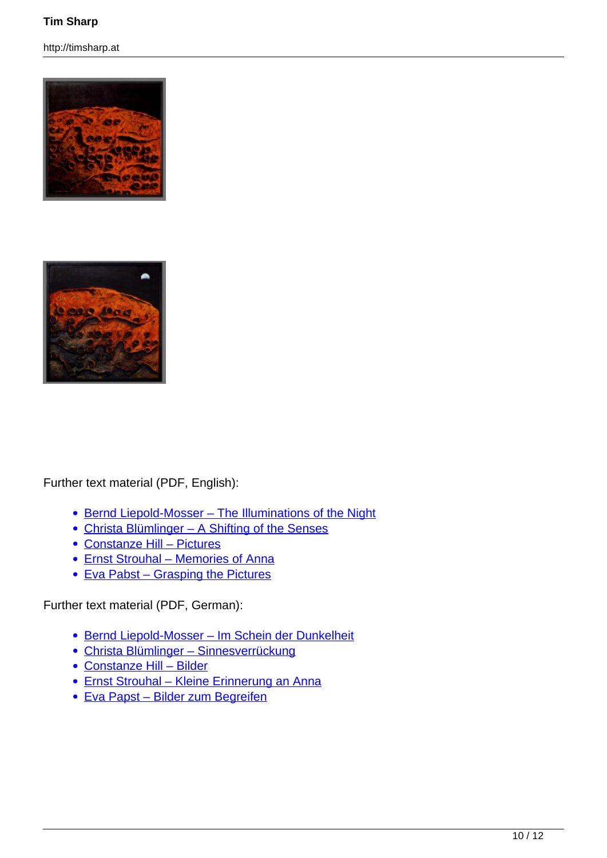http://timsharp.at





Further text material (PDF, English):

- [Bernd Liepold-Mosser The Illuminations of the Night](http://timsharp.at/wp-content/uploads/1999/05/Bernd-Liepold-Mosser_The-Illuminations-of-the-Night.pdf)
- [Christa Blümlinger A Shifting of the Senses](http://timsharp.at/wp-content/uploads/1999/05/Christa-Blumlinger_A-Shifting-of-the-Senses.pdf)
- [Constanze Hill Pictures](http://timsharp.at/wp-content/uploads/1999/05/Constanze-Hill_Pictures.pdf)
- [Ernst Strouhal Memories of Anna](http://timsharp.at/wp-content/uploads/1999/05/Ernst-Strouhal_Memories-of-Anna.pdf)
- [Eva Pabst Grasping the Pictures](http://timsharp.at/wp-content/uploads/1999/05/Eva-Pabst_Grasping-the-Pictures.pdf)

Further text material (PDF, German):

- [Bernd Liepold-Mosser Im Schein der Dunkelheit](http://timsharp.at/wp-content/uploads/1999/05/Bernd-Liepold-Mosser_In-Schein-der-Dunkelheit.pdf)
- [Christa Blümlinger Sinnesverrückung](http://timsharp.at/wp-content/uploads/1999/05/Christa-Blümlinger_Sinnesverrückung.pdf)
- [Constanze Hill Bilder](http://timsharp.at/wp-content/uploads/1999/05/Constanze-Hill_Bilder.pdf)
- [Ernst Strouhal Kleine Erinnerung an Anna](http://timsharp.at/wp-content/uploads/1999/05/Ernst-Strouhal_Kleine-Erinnerung-an-Anna.pdf)
- [Eva Papst Bilder zum Begreifen](http://timsharp.at/wp-content/uploads/1999/05/Eva-Papst_Bilder-zum-Begreifen-_excerpts.pdf)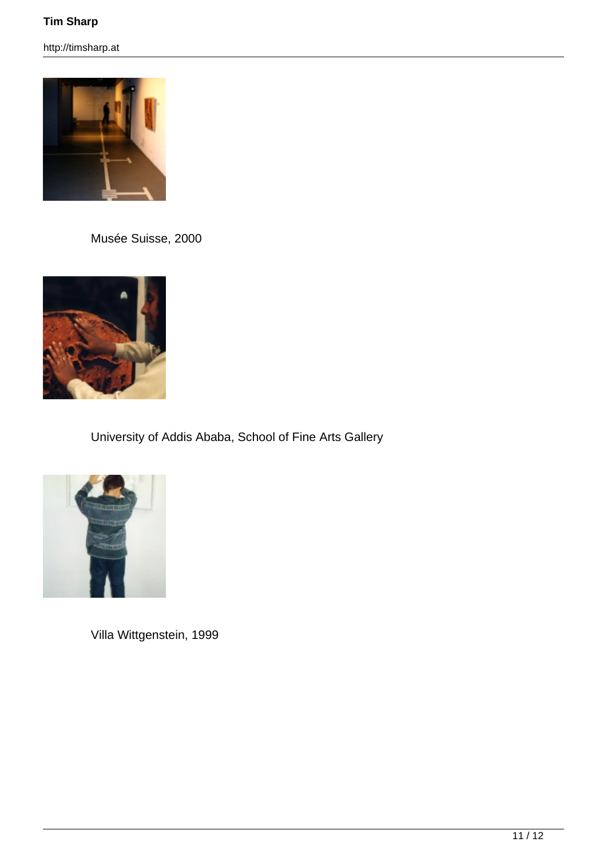http://timsharp.at



Musée Suisse, 2000



University of Addis Ababa, School of Fine Arts Gallery



Villa Wittgenstein, 1999